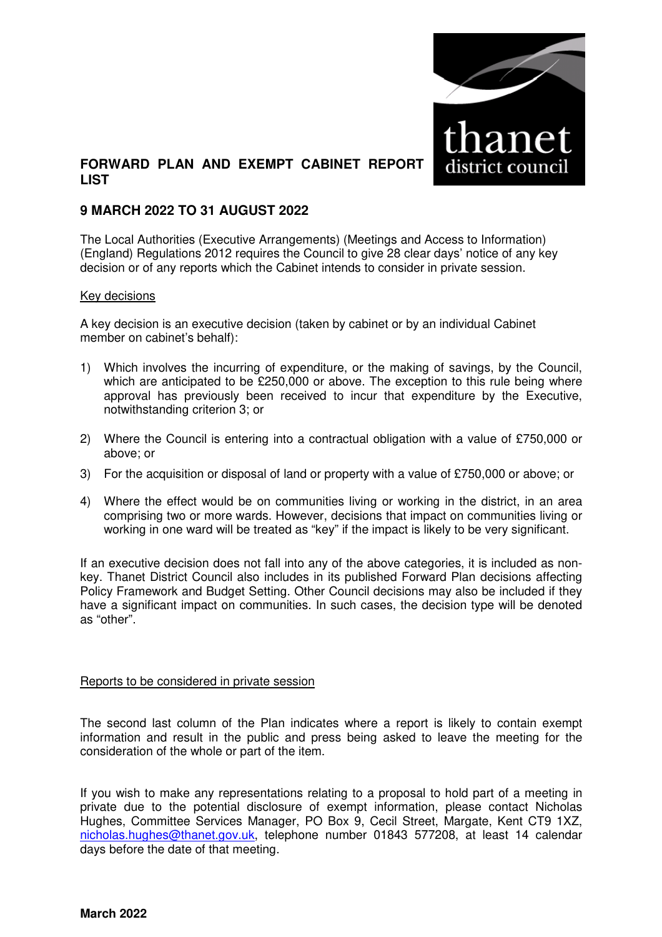

# **FORWARD PLAN AND EXEMPT CABINET REPORT LIST**

## **9 MARCH 2022 TO 31 AUGUST 2022**

The Local Authorities (Executive Arrangements) (Meetings and Access to Information) (England) Regulations 2012 requires the Council to give 28 clear days' notice of any key decision or of any reports which the Cabinet intends to consider in private session.

#### Key decisions

A key decision is an executive decision (taken by cabinet or by an individual Cabinet member on cabinet's behalf):

- 1) Which involves the incurring of expenditure, or the making of savings, by the Council, which are anticipated to be £250,000 or above. The exception to this rule being where approval has previously been received to incur that expenditure by the Executive, notwithstanding criterion 3; or
- 2) Where the Council is entering into a contractual obligation with a value of £750,000 or above; or
- 3) For the acquisition or disposal of land or property with a value of £750,000 or above; or
- 4) Where the effect would be on communities living or working in the district, in an area comprising two or more wards. However, decisions that impact on communities living or working in one ward will be treated as "key" if the impact is likely to be very significant.

If an executive decision does not fall into any of the above categories, it is included as nonkey. Thanet District Council also includes in its published Forward Plan decisions affecting Policy Framework and Budget Setting. Other Council decisions may also be included if they have a significant impact on communities. In such cases, the decision type will be denoted as "other".

## Reports to be considered in private session

The second last column of the Plan indicates where a report is likely to contain exempt information and result in the public and press being asked to leave the meeting for the consideration of the whole or part of the item.

If you wish to make any representations relating to a proposal to hold part of a meeting in private due to the potential disclosure of exempt information, please contact Nicholas Hughes, Committee Services Manager, PO Box 9, Cecil Street, Margate, Kent CT9 1XZ, nicholas.hughes@thanet.gov.uk, telephone number 01843 577208, at least 14 calendar days before the date of that meeting.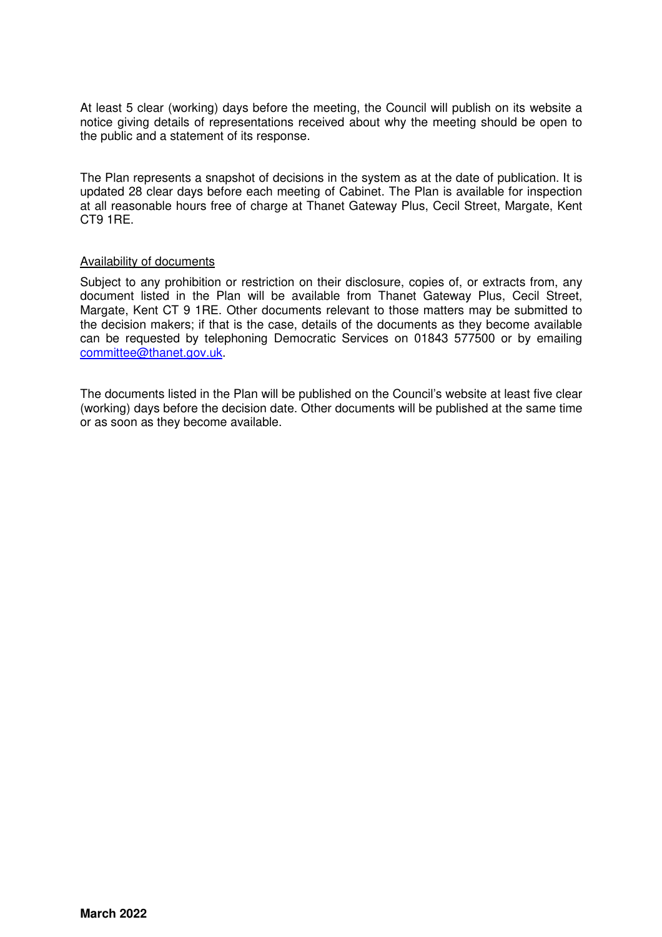At least 5 clear (working) days before the meeting, the Council will publish on its website a notice giving details of representations received about why the meeting should be open to the public and a statement of its response.

The Plan represents a snapshot of decisions in the system as at the date of publication. It is updated 28 clear days before each meeting of Cabinet. The Plan is available for inspection at all reasonable hours free of charge at Thanet Gateway Plus, Cecil Street, Margate, Kent CT9 1RE.

### Availability of documents

Subject to any prohibition or restriction on their disclosure, copies of, or extracts from, any document listed in the Plan will be available from Thanet Gateway Plus, Cecil Street, Margate, Kent CT 9 1RE. Other documents relevant to those matters may be submitted to the decision makers; if that is the case, details of the documents as they become available can be requested by telephoning Democratic Services on 01843 577500 or by emailing committee@thanet.gov.uk.

The documents listed in the Plan will be published on the Council's website at least five clear (working) days before the decision date. Other documents will be published at the same time or as soon as they become available.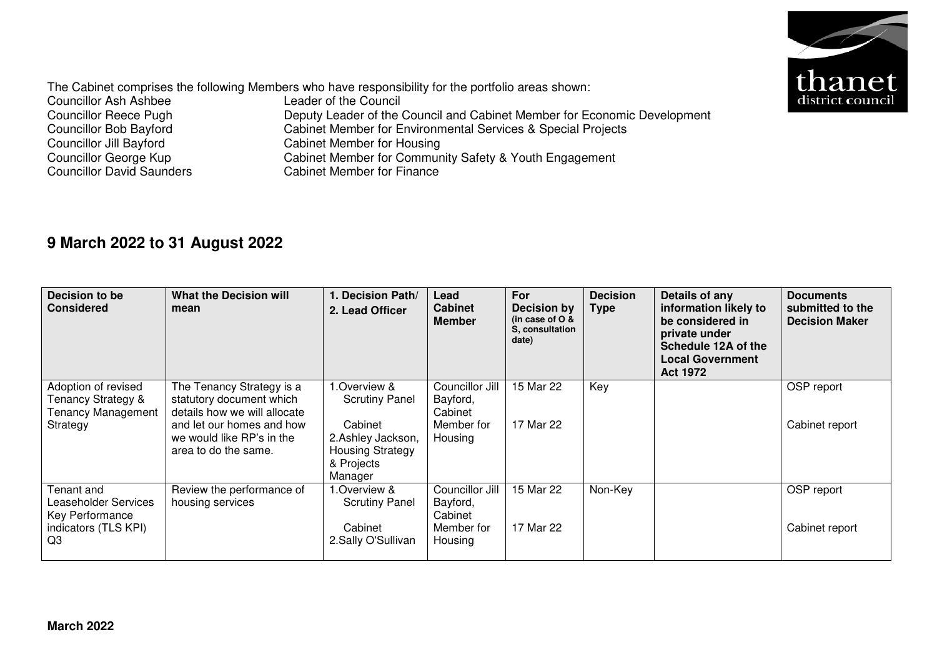

The Cabinet comprises the following Members who have responsibility for the portfolio areas shown: Councillor Ash Ashbee Leader of the Council Councillor Reece Pugh Deputy Leader of the Council and Cabinet Member for Economic Development Councillor Bob Bayford<br>
Cabinet Member for Environmental Services & Special Projects<br>
Cabinet Member for Housing Councillor Jill Bayford<br>
Cabinet Member for Housing<br>
Councillor George Kup<br>
Cabinet Member for Commun Councillor George Kup **Cabinet Member for Community Safety & Youth Engagement** Councillor David Saunders Cabinet Member for Finance

# **9 March 2022 to 31 August 2022**

| Decision to be<br><b>Considered</b>                                                 | <b>What the Decision will</b><br>mean                                                                                                                                   | 1. Decision Path/<br>2. Lead Officer                                                                                      | Lead<br><b>Cabinet</b><br><b>Member</b>                         | <b>For</b><br>Decision by<br>(in case of $O$ &<br>S, consultation<br>date) | <b>Decision</b><br><b>Type</b> | Details of any<br>information likely to<br>be considered in<br>private under<br>Schedule 12A of the<br><b>Local Government</b><br><b>Act 1972</b> | <b>Documents</b><br>submitted to the<br><b>Decision Maker</b> |
|-------------------------------------------------------------------------------------|-------------------------------------------------------------------------------------------------------------------------------------------------------------------------|---------------------------------------------------------------------------------------------------------------------------|-----------------------------------------------------------------|----------------------------------------------------------------------------|--------------------------------|---------------------------------------------------------------------------------------------------------------------------------------------------|---------------------------------------------------------------|
| Adoption of revised<br>Tenancy Strategy &<br><b>Tenancy Management</b><br>Strategy  | The Tenancy Strategy is a<br>statutory document which<br>details how we will allocate<br>and let our homes and how<br>we would like RP's in the<br>area to do the same. | 1.Overview &<br><b>Scrutiny Panel</b><br>Cabinet<br>2.Ashley Jackson,<br><b>Housing Strategy</b><br>& Projects<br>Manager | Councillor Jill<br>Bayford,<br>Cabinet<br>Member for<br>Housing | 15 Mar 22<br>17 Mar 22                                                     | Key                            |                                                                                                                                                   | OSP report<br>Cabinet report                                  |
| Tenant and<br>Leaseholder Services<br>Key Performance<br>indicators (TLS KPI)<br>Q3 | Review the performance of<br>housing services                                                                                                                           | 1.Overview &<br><b>Scrutiny Panel</b><br>Cabinet<br>2.Sally O'Sullivan                                                    | Councillor Jill<br>Bayford,<br>Cabinet<br>Member for<br>Housing | 15 Mar 22<br>17 Mar 22                                                     | Non-Key                        |                                                                                                                                                   | OSP report<br>Cabinet report                                  |